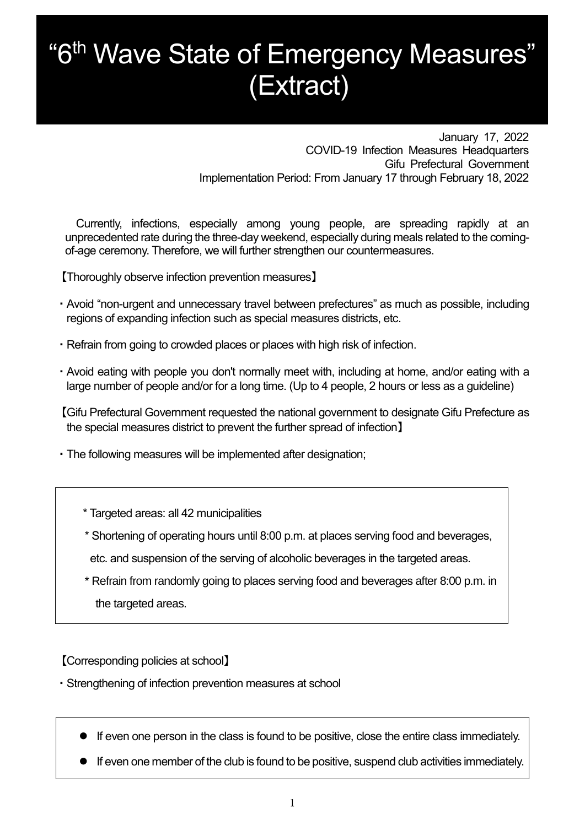## "6<sup>th</sup> Wave State of Emergency Measures" (Extract)

January 17, 2022 COVID-19 Infection Measures Headquarters Gifu Prefectural Government Implementation Period: From January 17 through February 18, 2022

Currently, infections, especially among young people, are spreading rapidly at an unprecedented rate during the three-day weekend, especially during meals related to the comingof-age ceremony. Therefore, we will further strengthen our countermeasures.

【Thoroughly observe infection prevention measures】

- ・Avoid "non-urgent and unnecessary travel between prefectures" as much as possible, including regions of expanding infection such as special measures districts, etc.
- ・Refrain from going to crowded places or places with high risk of infection.
- ・Avoid eating with people you don't normally meet with, including at home, and/or eating with a large number of people and/or for a long time. (Up to 4 people, 2 hours or less as a guideline)

【Gifu Prefectural Government requested the national government to designate Gifu Prefecture as the special measures district to prevent the further spread of infection】

- ・The following measures will be implemented after designation;
	- \* Targeted areas: all 42 municipalities
	- \* Shortening of operating hours until 8:00 p.m. at places serving food and beverages,
	- etc. and suspension of the serving of alcoholic beverages in the targeted areas.
	- \* Refrain from randomly going to places serving food and beverages after 8:00 p.m. in the targeted areas.

【Corresponding policies at school】

・Strengthening of infection prevention measures at school

- If even one person in the class is found to be positive, close the entire class immediately.
- If even one member of the club is found to be positive, suspend club activities immediately.